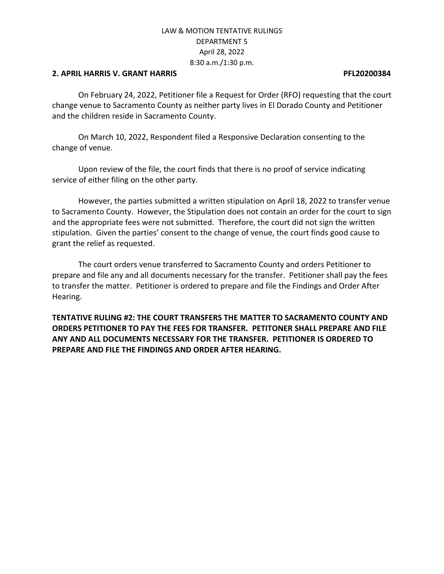### **2. APRIL HARRIS V. GRANT HARRIS PFL20200384**

On February 24, 2022, Petitioner file a Request for Order (RFO) requesting that the court change venue to Sacramento County as neither party lives in El Dorado County and Petitioner and the children reside in Sacramento County.

On March 10, 2022, Respondent filed a Responsive Declaration consenting to the change of venue.

Upon review of the file, the court finds that there is no proof of service indicating service of either filing on the other party.

However, the parties submitted a written stipulation on April 18, 2022 to transfer venue to Sacramento County. However, the Stipulation does not contain an order for the court to sign and the appropriate fees were not submitted. Therefore, the court did not sign the written stipulation. Given the parties' consent to the change of venue, the court finds good cause to grant the relief as requested.

The court orders venue transferred to Sacramento County and orders Petitioner to prepare and file any and all documents necessary for the transfer. Petitioner shall pay the fees to transfer the matter. Petitioner is ordered to prepare and file the Findings and Order After Hearing.

**TENTATIVE RULING #2: THE COURT TRANSFERS THE MATTER TO SACRAMENTO COUNTY AND ORDERS PETITIONER TO PAY THE FEES FOR TRANSFER. PETITONER SHALL PREPARE AND FILE ANY AND ALL DOCUMENTS NECESSARY FOR THE TRANSFER. PETITIONER IS ORDERED TO PREPARE AND FILE THE FINDINGS AND ORDER AFTER HEARING.**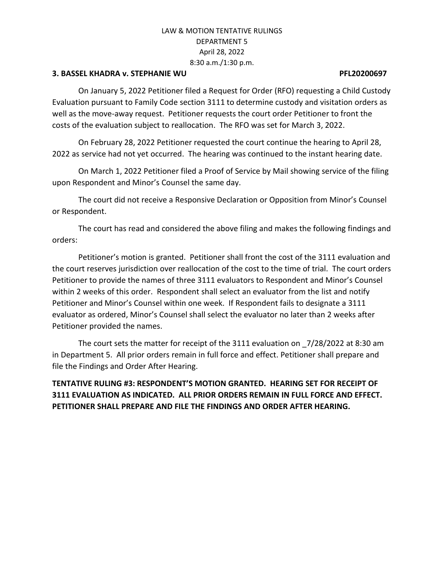### **3. BASSEL KHADRA v. STEPHANIE WU PFL20200697**

On January 5, 2022 Petitioner filed a Request for Order (RFO) requesting a Child Custody Evaluation pursuant to Family Code section 3111 to determine custody and visitation orders as well as the move-away request. Petitioner requests the court order Petitioner to front the costs of the evaluation subject to reallocation. The RFO was set for March 3, 2022.

On February 28, 2022 Petitioner requested the court continue the hearing to April 28, 2022 as service had not yet occurred. The hearing was continued to the instant hearing date.

On March 1, 2022 Petitioner filed a Proof of Service by Mail showing service of the filing upon Respondent and Minor's Counsel the same day.

The court did not receive a Responsive Declaration or Opposition from Minor's Counsel or Respondent.

The court has read and considered the above filing and makes the following findings and orders:

Petitioner's motion is granted. Petitioner shall front the cost of the 3111 evaluation and the court reserves jurisdiction over reallocation of the cost to the time of trial. The court orders Petitioner to provide the names of three 3111 evaluators to Respondent and Minor's Counsel within 2 weeks of this order. Respondent shall select an evaluator from the list and notify Petitioner and Minor's Counsel within one week. If Respondent fails to designate a 3111 evaluator as ordered, Minor's Counsel shall select the evaluator no later than 2 weeks after Petitioner provided the names.

The court sets the matter for receipt of the 3111 evaluation on \_7/28/2022 at 8:30 am in Department 5. All prior orders remain in full force and effect. Petitioner shall prepare and file the Findings and Order After Hearing.

# **TENTATIVE RULING #3: RESPONDENT'S MOTION GRANTED. HEARING SET FOR RECEIPT OF 3111 EVALUATION AS INDICATED. ALL PRIOR ORDERS REMAIN IN FULL FORCE AND EFFECT. PETITIONER SHALL PREPARE AND FILE THE FINDINGS AND ORDER AFTER HEARING.**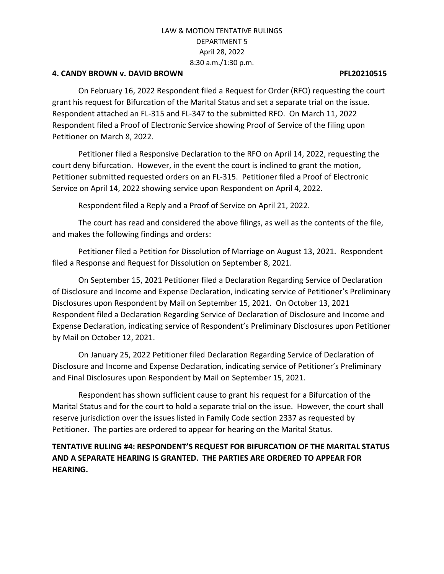## **4. CANDY BROWN v. DAVID BROWN PFL20210515**

On February 16, 2022 Respondent filed a Request for Order (RFO) requesting the court grant his request for Bifurcation of the Marital Status and set a separate trial on the issue. Respondent attached an FL-315 and FL-347 to the submitted RFO. On March 11, 2022 Respondent filed a Proof of Electronic Service showing Proof of Service of the filing upon Petitioner on March 8, 2022.

Petitioner filed a Responsive Declaration to the RFO on April 14, 2022, requesting the court deny bifurcation. However, in the event the court is inclined to grant the motion, Petitioner submitted requested orders on an FL-315. Petitioner filed a Proof of Electronic Service on April 14, 2022 showing service upon Respondent on April 4, 2022.

Respondent filed a Reply and a Proof of Service on April 21, 2022.

The court has read and considered the above filings, as well as the contents of the file, and makes the following findings and orders:

Petitioner filed a Petition for Dissolution of Marriage on August 13, 2021. Respondent filed a Response and Request for Dissolution on September 8, 2021.

On September 15, 2021 Petitioner filed a Declaration Regarding Service of Declaration of Disclosure and Income and Expense Declaration, indicating service of Petitioner's Preliminary Disclosures upon Respondent by Mail on September 15, 2021. On October 13, 2021 Respondent filed a Declaration Regarding Service of Declaration of Disclosure and Income and Expense Declaration, indicating service of Respondent's Preliminary Disclosures upon Petitioner by Mail on October 12, 2021.

On January 25, 2022 Petitioner filed Declaration Regarding Service of Declaration of Disclosure and Income and Expense Declaration, indicating service of Petitioner's Preliminary and Final Disclosures upon Respondent by Mail on September 15, 2021.

Respondent has shown sufficient cause to grant his request for a Bifurcation of the Marital Status and for the court to hold a separate trial on the issue. However, the court shall reserve jurisdiction over the issues listed in Family Code section 2337 as requested by Petitioner. The parties are ordered to appear for hearing on the Marital Status.

# **TENTATIVE RULING #4: RESPONDENT'S REQUEST FOR BIFURCATION OF THE MARITAL STATUS AND A SEPARATE HEARING IS GRANTED. THE PARTIES ARE ORDERED TO APPEAR FOR HEARING.**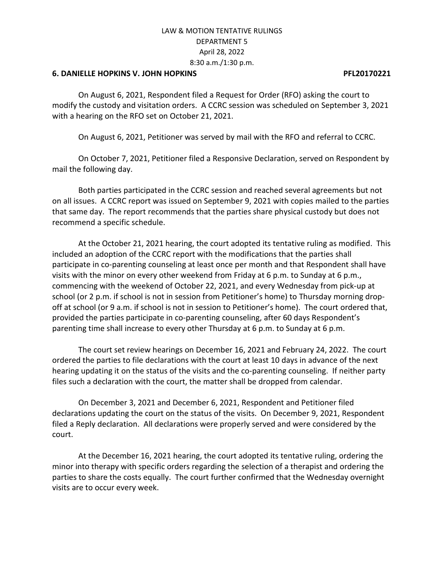#### **6. DANIELLE HOPKINS V. JOHN HOPKINS PFL20170221**

On August 6, 2021, Respondent filed a Request for Order (RFO) asking the court to modify the custody and visitation orders. A CCRC session was scheduled on September 3, 2021 with a hearing on the RFO set on October 21, 2021.

On August 6, 2021, Petitioner was served by mail with the RFO and referral to CCRC.

On October 7, 2021, Petitioner filed a Responsive Declaration, served on Respondent by mail the following day.

Both parties participated in the CCRC session and reached several agreements but not on all issues. A CCRC report was issued on September 9, 2021 with copies mailed to the parties that same day. The report recommends that the parties share physical custody but does not recommend a specific schedule.

At the October 21, 2021 hearing, the court adopted its tentative ruling as modified. This included an adoption of the CCRC report with the modifications that the parties shall participate in co-parenting counseling at least once per month and that Respondent shall have visits with the minor on every other weekend from Friday at 6 p.m. to Sunday at 6 p.m., commencing with the weekend of October 22, 2021, and every Wednesday from pick-up at school (or 2 p.m. if school is not in session from Petitioner's home) to Thursday morning dropoff at school (or 9 a.m. if school is not in session to Petitioner's home). The court ordered that, provided the parties participate in co-parenting counseling, after 60 days Respondent's parenting time shall increase to every other Thursday at 6 p.m. to Sunday at 6 p.m.

The court set review hearings on December 16, 2021 and February 24, 2022. The court ordered the parties to file declarations with the court at least 10 days in advance of the next hearing updating it on the status of the visits and the co-parenting counseling. If neither party files such a declaration with the court, the matter shall be dropped from calendar.

On December 3, 2021 and December 6, 2021, Respondent and Petitioner filed declarations updating the court on the status of the visits. On December 9, 2021, Respondent filed a Reply declaration. All declarations were properly served and were considered by the court.

At the December 16, 2021 hearing, the court adopted its tentative ruling, ordering the minor into therapy with specific orders regarding the selection of a therapist and ordering the parties to share the costs equally. The court further confirmed that the Wednesday overnight visits are to occur every week.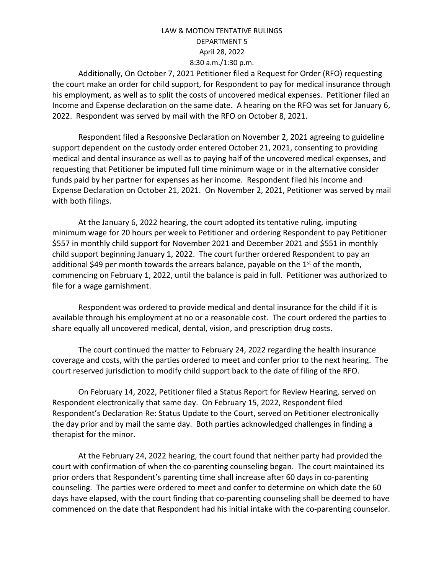Additionally, On October 7, 2021 Petitioner filed a Request for Order (RFO) requesting the court make an order for child support, for Respondent to pay for medical insurance through his employment, as well as to split the costs of uncovered medical expenses. Petitioner filed an Income and Expense declaration on the same date. A hearing on the RFO was set for January 6, 2022. Respondent was served by mail with the RFO on October 8, 2021.

Respondent filed a Responsive Declaration on November 2, 2021 agreeing to guideline support dependent on the custody order entered October 21, 2021, consenting to providing medical and dental insurance as well as to paying half of the uncovered medical expenses, and requesting that Petitioner be imputed full time minimum wage or in the alternative consider funds paid by her partner for expenses as her income. Respondent filed his Income and Expense Declaration on October 21, 2021. On November 2, 2021, Petitioner was served by mail with both filings.

At the January 6, 2022 hearing, the court adopted its tentative ruling, imputing minimum wage for 20 hours per week to Petitioner and ordering Respondent to pay Petitioner \$557 in monthly child support for November 2021 and December 2021 and \$551 in monthly child support beginning January 1, 2022. The court further ordered Respondent to pay an additional \$49 per month towards the arrears balance, payable on the 1<sup>st</sup> of the month, commencing on February 1, 2022, until the balance is paid in full. Petitioner was authorized to file for a wage garnishment.

Respondent was ordered to provide medical and dental insurance for the child if it is available through his employment at no or a reasonable cost. The court ordered the parties to share equally all uncovered medical, dental, vision, and prescription drug costs.

The court continued the matter to February 24, 2022 regarding the health insurance coverage and costs, with the parties ordered to meet and confer prior to the next hearing. The court reserved jurisdiction to modify child support back to the date of filing of the RFO.

On February 14, 2022, Petitioner filed a Status Report for Review Hearing, served on Respondent electronically that same day. On February 15, 2022, Respondent filed Respondent's Declaration Re: Status Update to the Court, served on Petitioner electronically the day prior and by mail the same day. Both parties acknowledged challenges in finding a therapist for the minor.

At the February 24, 2022 hearing, the court found that neither party had provided the court with confirmation of when the co-parenting counseling began. The court maintained its prior orders that Respondent's parenting time shall increase after 60 days in co-parenting counseling. The parties were ordered to meet and confer to determine on which date the 60 days have elapsed, with the court finding that co-parenting counseling shall be deemed to have commenced on the date that Respondent had his initial intake with the co-parenting counselor.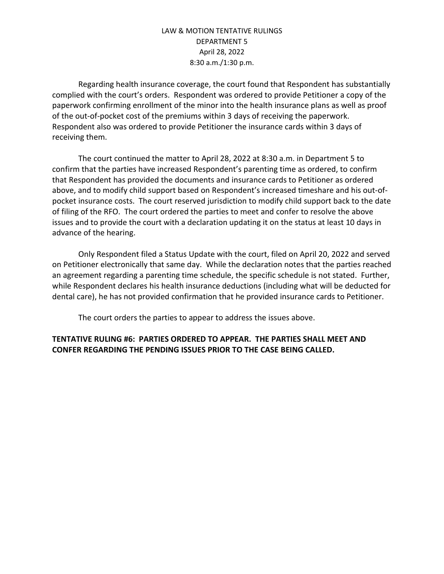Regarding health insurance coverage, the court found that Respondent has substantially complied with the court's orders. Respondent was ordered to provide Petitioner a copy of the paperwork confirming enrollment of the minor into the health insurance plans as well as proof of the out-of-pocket cost of the premiums within 3 days of receiving the paperwork. Respondent also was ordered to provide Petitioner the insurance cards within 3 days of receiving them.

The court continued the matter to April 28, 2022 at 8:30 a.m. in Department 5 to confirm that the parties have increased Respondent's parenting time as ordered, to confirm that Respondent has provided the documents and insurance cards to Petitioner as ordered above, and to modify child support based on Respondent's increased timeshare and his out-ofpocket insurance costs. The court reserved jurisdiction to modify child support back to the date of filing of the RFO. The court ordered the parties to meet and confer to resolve the above issues and to provide the court with a declaration updating it on the status at least 10 days in advance of the hearing.

Only Respondent filed a Status Update with the court, filed on April 20, 2022 and served on Petitioner electronically that same day. While the declaration notes that the parties reached an agreement regarding a parenting time schedule, the specific schedule is not stated. Further, while Respondent declares his health insurance deductions (including what will be deducted for dental care), he has not provided confirmation that he provided insurance cards to Petitioner.

The court orders the parties to appear to address the issues above.

## **TENTATIVE RULING #6: PARTIES ORDERED TO APPEAR. THE PARTIES SHALL MEET AND CONFER REGARDING THE PENDING ISSUES PRIOR TO THE CASE BEING CALLED.**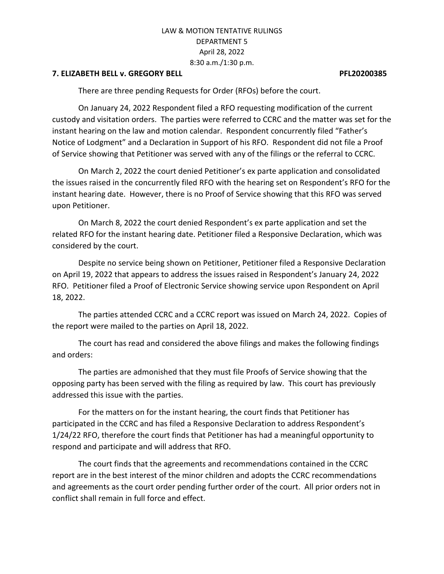## **7. ELIZABETH BELL v. GREGORY BELL PFL20200385**

There are three pending Requests for Order (RFOs) before the court.

On January 24, 2022 Respondent filed a RFO requesting modification of the current custody and visitation orders. The parties were referred to CCRC and the matter was set for the instant hearing on the law and motion calendar. Respondent concurrently filed "Father's Notice of Lodgment" and a Declaration in Support of his RFO. Respondent did not file a Proof of Service showing that Petitioner was served with any of the filings or the referral to CCRC.

On March 2, 2022 the court denied Petitioner's ex parte application and consolidated the issues raised in the concurrently filed RFO with the hearing set on Respondent's RFO for the instant hearing date. However, there is no Proof of Service showing that this RFO was served upon Petitioner.

On March 8, 2022 the court denied Respondent's ex parte application and set the related RFO for the instant hearing date. Petitioner filed a Responsive Declaration, which was considered by the court.

Despite no service being shown on Petitioner, Petitioner filed a Responsive Declaration on April 19, 2022 that appears to address the issues raised in Respondent's January 24, 2022 RFO. Petitioner filed a Proof of Electronic Service showing service upon Respondent on April 18, 2022.

The parties attended CCRC and a CCRC report was issued on March 24, 2022. Copies of the report were mailed to the parties on April 18, 2022.

The court has read and considered the above filings and makes the following findings and orders:

The parties are admonished that they must file Proofs of Service showing that the opposing party has been served with the filing as required by law. This court has previously addressed this issue with the parties.

For the matters on for the instant hearing, the court finds that Petitioner has participated in the CCRC and has filed a Responsive Declaration to address Respondent's 1/24/22 RFO, therefore the court finds that Petitioner has had a meaningful opportunity to respond and participate and will address that RFO.

The court finds that the agreements and recommendations contained in the CCRC report are in the best interest of the minor children and adopts the CCRC recommendations and agreements as the court order pending further order of the court. All prior orders not in conflict shall remain in full force and effect.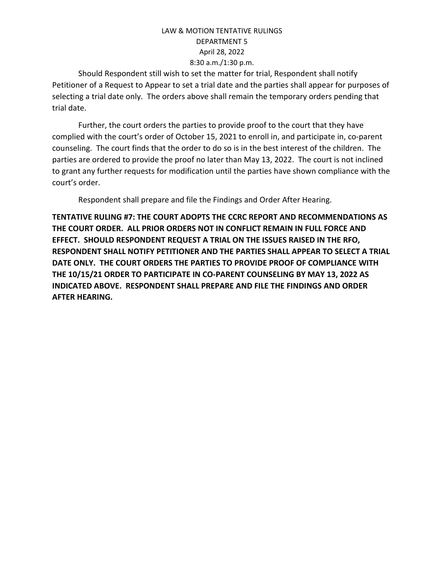Should Respondent still wish to set the matter for trial, Respondent shall notify Petitioner of a Request to Appear to set a trial date and the parties shall appear for purposes of selecting a trial date only. The orders above shall remain the temporary orders pending that trial date.

Further, the court orders the parties to provide proof to the court that they have complied with the court's order of October 15, 2021 to enroll in, and participate in, co-parent counseling. The court finds that the order to do so is in the best interest of the children. The parties are ordered to provide the proof no later than May 13, 2022. The court is not inclined to grant any further requests for modification until the parties have shown compliance with the court's order.

Respondent shall prepare and file the Findings and Order After Hearing.

**TENTATIVE RULING #7: THE COURT ADOPTS THE CCRC REPORT AND RECOMMENDATIONS AS THE COURT ORDER. ALL PRIOR ORDERS NOT IN CONFLICT REMAIN IN FULL FORCE AND EFFECT. SHOULD RESPONDENT REQUEST A TRIAL ON THE ISSUES RAISED IN THE RFO, RESPONDENT SHALL NOTIFY PETITIONER AND THE PARTIES SHALL APPEAR TO SELECT A TRIAL DATE ONLY. THE COURT ORDERS THE PARTIES TO PROVIDE PROOF OF COMPLIANCE WITH THE 10/15/21 ORDER TO PARTICIPATE IN CO-PARENT COUNSELING BY MAY 13, 2022 AS INDICATED ABOVE. RESPONDENT SHALL PREPARE AND FILE THE FINDINGS AND ORDER AFTER HEARING.**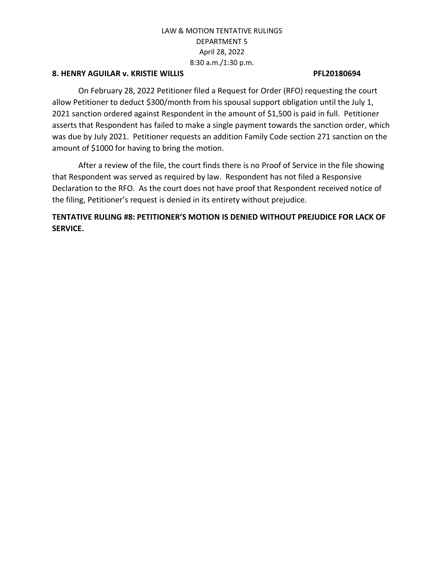## **8. HENRY AGUILAR v. KRISTIE WILLIS PFL20180694**

On February 28, 2022 Petitioner filed a Request for Order (RFO) requesting the court allow Petitioner to deduct \$300/month from his spousal support obligation until the July 1, 2021 sanction ordered against Respondent in the amount of \$1,500 is paid in full. Petitioner asserts that Respondent has failed to make a single payment towards the sanction order, which was due by July 2021. Petitioner requests an addition Family Code section 271 sanction on the amount of \$1000 for having to bring the motion.

After a review of the file, the court finds there is no Proof of Service in the file showing that Respondent was served as required by law. Respondent has not filed a Responsive Declaration to the RFO. As the court does not have proof that Respondent received notice of the filing, Petitioner's request is denied in its entirety without prejudice.

# **TENTATIVE RULING #8: PETITIONER'S MOTION IS DENIED WITHOUT PREJUDICE FOR LACK OF SERVICE.**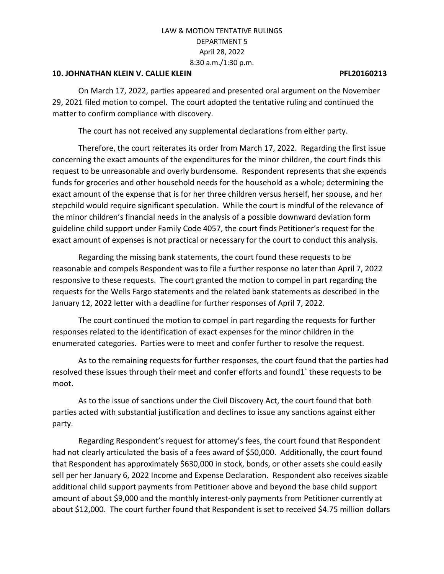#### **10. JOHNATHAN KLEIN V. CALLIE KLEIN PFL20160213**

On March 17, 2022, parties appeared and presented oral argument on the November 29, 2021 filed motion to compel. The court adopted the tentative ruling and continued the matter to confirm compliance with discovery.

The court has not received any supplemental declarations from either party.

Therefore, the court reiterates its order from March 17, 2022. Regarding the first issue concerning the exact amounts of the expenditures for the minor children, the court finds this request to be unreasonable and overly burdensome. Respondent represents that she expends funds for groceries and other household needs for the household as a whole; determining the exact amount of the expense that is for her three children versus herself, her spouse, and her stepchild would require significant speculation. While the court is mindful of the relevance of the minor children's financial needs in the analysis of a possible downward deviation form guideline child support under Family Code 4057, the court finds Petitioner's request for the exact amount of expenses is not practical or necessary for the court to conduct this analysis.

Regarding the missing bank statements, the court found these requests to be reasonable and compels Respondent was to file a further response no later than April 7, 2022 responsive to these requests. The court granted the motion to compel in part regarding the requests for the Wells Fargo statements and the related bank statements as described in the January 12, 2022 letter with a deadline for further responses of April 7, 2022.

The court continued the motion to compel in part regarding the requests for further responses related to the identification of exact expenses for the minor children in the enumerated categories. Parties were to meet and confer further to resolve the request.

As to the remaining requests for further responses, the court found that the parties had resolved these issues through their meet and confer efforts and found1` these requests to be moot.

As to the issue of sanctions under the Civil Discovery Act, the court found that both parties acted with substantial justification and declines to issue any sanctions against either party.

Regarding Respondent's request for attorney's fees, the court found that Respondent had not clearly articulated the basis of a fees award of \$50,000. Additionally, the court found that Respondent has approximately \$630,000 in stock, bonds, or other assets she could easily sell per her January 6, 2022 Income and Expense Declaration. Respondent also receives sizable additional child support payments from Petitioner above and beyond the base child support amount of about \$9,000 and the monthly interest-only payments from Petitioner currently at about \$12,000. The court further found that Respondent is set to received \$4.75 million dollars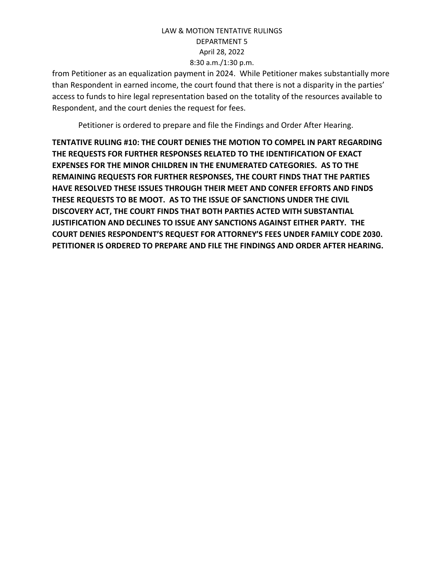from Petitioner as an equalization payment in 2024. While Petitioner makes substantially more than Respondent in earned income, the court found that there is not a disparity in the parties' access to funds to hire legal representation based on the totality of the resources available to Respondent, and the court denies the request for fees.

Petitioner is ordered to prepare and file the Findings and Order After Hearing.

**TENTATIVE RULING #10: THE COURT DENIES THE MOTION TO COMPEL IN PART REGARDING THE REQUESTS FOR FURTHER RESPONSES RELATED TO THE IDENTIFICATION OF EXACT EXPENSES FOR THE MINOR CHILDREN IN THE ENUMERATED CATEGORIES. AS TO THE REMAINING REQUESTS FOR FURTHER RESPONSES, THE COURT FINDS THAT THE PARTIES HAVE RESOLVED THESE ISSUES THROUGH THEIR MEET AND CONFER EFFORTS AND FINDS THESE REQUESTS TO BE MOOT. AS TO THE ISSUE OF SANCTIONS UNDER THE CIVIL DISCOVERY ACT, THE COURT FINDS THAT BOTH PARTIES ACTED WITH SUBSTANTIAL JUSTIFICATION AND DECLINES TO ISSUE ANY SANCTIONS AGAINST EITHER PARTY. THE COURT DENIES RESPONDENT'S REQUEST FOR ATTORNEY'S FEES UNDER FAMILY CODE 2030. PETITIONER IS ORDERED TO PREPARE AND FILE THE FINDINGS AND ORDER AFTER HEARING.**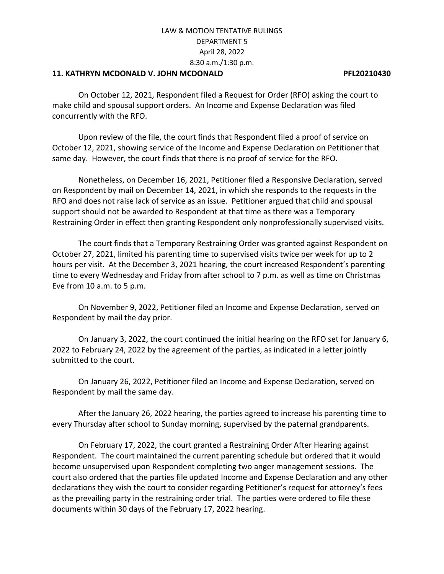### **11. KATHRYN MCDONALD V. JOHN MCDONALD PFL20210430**

On October 12, 2021, Respondent filed a Request for Order (RFO) asking the court to make child and spousal support orders. An Income and Expense Declaration was filed concurrently with the RFO.

Upon review of the file, the court finds that Respondent filed a proof of service on October 12, 2021, showing service of the Income and Expense Declaration on Petitioner that same day. However, the court finds that there is no proof of service for the RFO.

Nonetheless, on December 16, 2021, Petitioner filed a Responsive Declaration, served on Respondent by mail on December 14, 2021, in which she responds to the requests in the RFO and does not raise lack of service as an issue. Petitioner argued that child and spousal support should not be awarded to Respondent at that time as there was a Temporary Restraining Order in effect then granting Respondent only nonprofessionally supervised visits.

The court finds that a Temporary Restraining Order was granted against Respondent on October 27, 2021, limited his parenting time to supervised visits twice per week for up to 2 hours per visit. At the December 3, 2021 hearing, the court increased Respondent's parenting time to every Wednesday and Friday from after school to 7 p.m. as well as time on Christmas Eve from 10 a.m. to 5 p.m.

On November 9, 2022, Petitioner filed an Income and Expense Declaration, served on Respondent by mail the day prior.

On January 3, 2022, the court continued the initial hearing on the RFO set for January 6, 2022 to February 24, 2022 by the agreement of the parties, as indicated in a letter jointly submitted to the court.

On January 26, 2022, Petitioner filed an Income and Expense Declaration, served on Respondent by mail the same day.

After the January 26, 2022 hearing, the parties agreed to increase his parenting time to every Thursday after school to Sunday morning, supervised by the paternal grandparents.

On February 17, 2022, the court granted a Restraining Order After Hearing against Respondent. The court maintained the current parenting schedule but ordered that it would become unsupervised upon Respondent completing two anger management sessions. The court also ordered that the parties file updated Income and Expense Declaration and any other declarations they wish the court to consider regarding Petitioner's request for attorney's fees as the prevailing party in the restraining order trial. The parties were ordered to file these documents within 30 days of the February 17, 2022 hearing.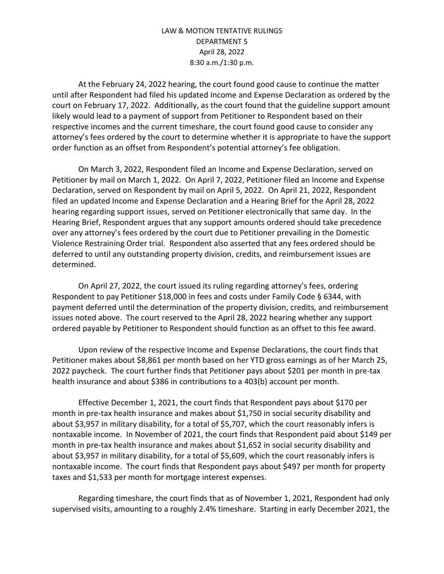At the February 24, 2022 hearing, the court found good cause to continue the matter until after Respondent had filed his updated Income and Expense Declaration as ordered by the court on February 17, 2022. Additionally, as the court found that the guideline support amount likely would lead to a payment of support from Petitioner to Respondent based on their respective incomes and the current timeshare, the court found good cause to consider any attorney's fees ordered by the court to determine whether it is appropriate to have the support order function as an offset from Respondent's potential attorney's fee obligation.

On March 3, 2022, Respondent filed an Income and Expense Declaration, served on Petitioner by mail on March 1, 2022. On April 7, 2022, Petitioner filed an Income and Expense Declaration, served on Respondent by mail on April 5, 2022. On April 21, 2022, Respondent filed an updated Income and Expense Declaration and a Hearing Brief for the April 28, 2022 hearing regarding support issues, served on Petitioner electronically that same day. In the Hearing Brief, Respondent argues that any support amounts ordered should take precedence over any attorney's fees ordered by the court due to Petitioner prevailing in the Domestic Violence Restraining Order trial. Respondent also asserted that any fees ordered should be deferred to until any outstanding property division, credits, and reimbursement issues are determined.

On April 27, 2022, the court issued its ruling regarding attorney's fees, ordering Respondent to pay Petitioner \$18,000 in fees and costs under Family Code § 6344, with payment deferred until the determination of the property division, credits, and reimbursement issues noted above. The court reserved to the April 28, 2022 hearing whether any support ordered payable by Petitioner to Respondent should function as an offset to this fee award.

Upon review of the respective Income and Expense Declarations, the court finds that Petitioner makes about \$8,861 per month based on her YTD gross earnings as of her March 25, 2022 paycheck. The court further finds that Petitioner pays about \$201 per month in pre-tax health insurance and about \$386 in contributions to a 403(b) account per month.

Effective December 1, 2021, the court finds that Respondent pays about \$170 per month in pre-tax health insurance and makes about \$1,750 in social security disability and about \$3,957 in military disability, for a total of \$5,707, which the court reasonably infers is nontaxable income. In November of 2021, the court finds that Respondent paid about \$149 per month in pre-tax health insurance and makes about \$1,652 in social security disability and about \$3,957 in military disability, for a total of \$5,609, which the court reasonably infers is nontaxable income. The court finds that Respondent pays about \$497 per month for property taxes and \$1,533 per month for mortgage interest expenses.

Regarding timeshare, the court finds that as of November 1, 2021, Respondent had only supervised visits, amounting to a roughly 2.4% timeshare. Starting in early December 2021, the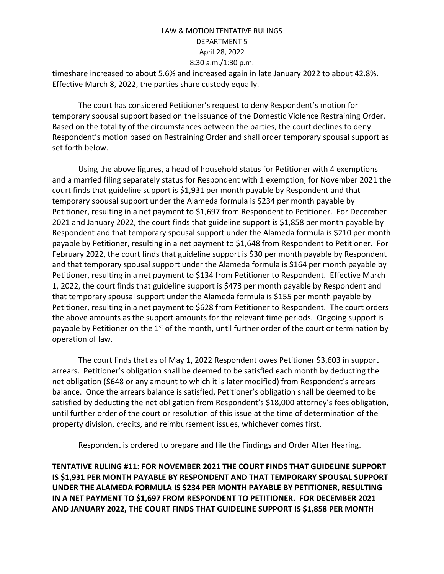timeshare increased to about 5.6% and increased again in late January 2022 to about 42.8%. Effective March 8, 2022, the parties share custody equally.

The court has considered Petitioner's request to deny Respondent's motion for temporary spousal support based on the issuance of the Domestic Violence Restraining Order. Based on the totality of the circumstances between the parties, the court declines to deny Respondent's motion based on Restraining Order and shall order temporary spousal support as set forth below.

Using the above figures, a head of household status for Petitioner with 4 exemptions and a married filing separately status for Respondent with 1 exemption, for November 2021 the court finds that guideline support is \$1,931 per month payable by Respondent and that temporary spousal support under the Alameda formula is \$234 per month payable by Petitioner, resulting in a net payment to \$1,697 from Respondent to Petitioner. For December 2021 and January 2022, the court finds that guideline support is \$1,858 per month payable by Respondent and that temporary spousal support under the Alameda formula is \$210 per month payable by Petitioner, resulting in a net payment to \$1,648 from Respondent to Petitioner. For February 2022, the court finds that guideline support is \$30 per month payable by Respondent and that temporary spousal support under the Alameda formula is \$164 per month payable by Petitioner, resulting in a net payment to \$134 from Petitioner to Respondent. Effective March 1, 2022, the court finds that guideline support is \$473 per month payable by Respondent and that temporary spousal support under the Alameda formula is \$155 per month payable by Petitioner, resulting in a net payment to \$628 from Petitioner to Respondent. The court orders the above amounts as the support amounts for the relevant time periods. Ongoing support is payable by Petitioner on the 1<sup>st</sup> of the month, until further order of the court or termination by operation of law.

The court finds that as of May 1, 2022 Respondent owes Petitioner \$3,603 in support arrears. Petitioner's obligation shall be deemed to be satisfied each month by deducting the net obligation (\$648 or any amount to which it is later modified) from Respondent's arrears balance. Once the arrears balance is satisfied, Petitioner's obligation shall be deemed to be satisfied by deducting the net obligation from Respondent's \$18,000 attorney's fees obligation, until further order of the court or resolution of this issue at the time of determination of the property division, credits, and reimbursement issues, whichever comes first.

Respondent is ordered to prepare and file the Findings and Order After Hearing.

**TENTATIVE RULING #11: FOR NOVEMBER 2021 THE COURT FINDS THAT GUIDELINE SUPPORT IS \$1,931 PER MONTH PAYABLE BY RESPONDENT AND THAT TEMPORARY SPOUSAL SUPPORT UNDER THE ALAMEDA FORMULA IS \$234 PER MONTH PAYABLE BY PETITIONER, RESULTING IN A NET PAYMENT TO \$1,697 FROM RESPONDENT TO PETITIONER. FOR DECEMBER 2021 AND JANUARY 2022, THE COURT FINDS THAT GUIDELINE SUPPORT IS \$1,858 PER MONTH**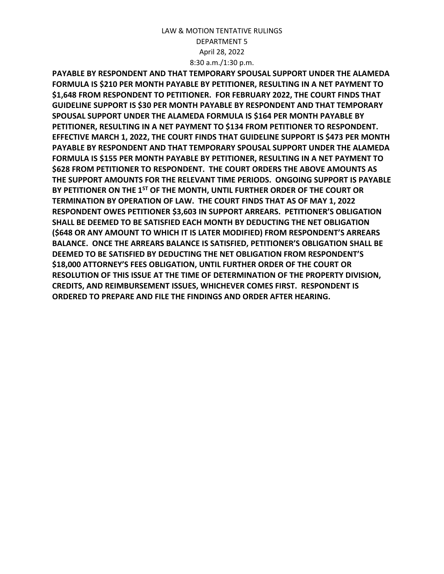**PAYABLE BY RESPONDENT AND THAT TEMPORARY SPOUSAL SUPPORT UNDER THE ALAMEDA FORMULA IS \$210 PER MONTH PAYABLE BY PETITIONER, RESULTING IN A NET PAYMENT TO \$1,648 FROM RESPONDENT TO PETITIONER. FOR FEBRUARY 2022, THE COURT FINDS THAT GUIDELINE SUPPORT IS \$30 PER MONTH PAYABLE BY RESPONDENT AND THAT TEMPORARY SPOUSAL SUPPORT UNDER THE ALAMEDA FORMULA IS \$164 PER MONTH PAYABLE BY PETITIONER, RESULTING IN A NET PAYMENT TO \$134 FROM PETITIONER TO RESPONDENT. EFFECTIVE MARCH 1, 2022, THE COURT FINDS THAT GUIDELINE SUPPORT IS \$473 PER MONTH PAYABLE BY RESPONDENT AND THAT TEMPORARY SPOUSAL SUPPORT UNDER THE ALAMEDA FORMULA IS \$155 PER MONTH PAYABLE BY PETITIONER, RESULTING IN A NET PAYMENT TO \$628 FROM PETITIONER TO RESPONDENT. THE COURT ORDERS THE ABOVE AMOUNTS AS THE SUPPORT AMOUNTS FOR THE RELEVANT TIME PERIODS. ONGOING SUPPORT IS PAYABLE BY PETITIONER ON THE 1 ST OF THE MONTH, UNTIL FURTHER ORDER OF THE COURT OR TERMINATION BY OPERATION OF LAW. THE COURT FINDS THAT AS OF MAY 1, 2022 RESPONDENT OWES PETITIONER \$3,603 IN SUPPORT ARREARS. PETITIONER'S OBLIGATION SHALL BE DEEMED TO BE SATISFIED EACH MONTH BY DEDUCTING THE NET OBLIGATION (\$648 OR ANY AMOUNT TO WHICH IT IS LATER MODIFIED) FROM RESPONDENT'S ARREARS BALANCE. ONCE THE ARREARS BALANCE IS SATISFIED, PETITIONER'S OBLIGATION SHALL BE DEEMED TO BE SATISFIED BY DEDUCTING THE NET OBLIGATION FROM RESPONDENT'S \$18,000 ATTORNEY'S FEES OBLIGATION, UNTIL FURTHER ORDER OF THE COURT OR RESOLUTION OF THIS ISSUE AT THE TIME OF DETERMINATION OF THE PROPERTY DIVISION, CREDITS, AND REIMBURSEMENT ISSUES, WHICHEVER COMES FIRST. RESPONDENT IS ORDERED TO PREPARE AND FILE THE FINDINGS AND ORDER AFTER HEARING.**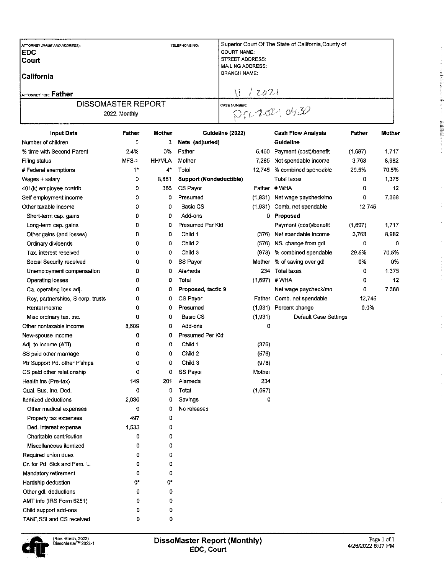| <b>ATTORNEY (NAME AND ADDRESS);</b><br><b>IEDC</b><br><b>Court</b><br> California | TELEPHONE NO: | Superior Court Of The State of California, County of<br><b>COURT NAME:</b><br>STREET ADDRESS:<br><b>MAILING ADDRESS:</b><br><b>BRANCH NAME:</b> |
|-----------------------------------------------------------------------------------|---------------|-------------------------------------------------------------------------------------------------------------------------------------------------|
| ATTORNEY FOR: Father                                                              |               | 12021                                                                                                                                           |
| <b>DISSOMASTER REPORT</b><br>2022, Monthly                                        |               | <b>CASE NUMBER:</b><br>D(L104)0430                                                                                                              |

| <b>Input Data</b>                 | Father   | <b>Mother</b> | Guideline (2022)        |         | <b>Cash Flow Analysis</b>  | Father  | Mother |
|-----------------------------------|----------|---------------|-------------------------|---------|----------------------------|---------|--------|
| Number of children                | 0        | 3             | Nets (adjusted)         |         | Guideline                  |         |        |
| % time with Second Parent         | 2.4%     | 0%            | Father                  | 5,460   | Payment (cost)/benefit     | (1,697) | 1,717  |
| Filing status                     | MFS->    | <b>HH/MLA</b> | Mother                  | 7,285   | Net spendable income       | 3,763   | 8,982  |
| # Federal exemptions              | $1*$     | 4*            | Total                   | 12,745  | % combined spendable       | 29.5%   | 70.5%  |
| Wages + salary                    | 0        | 8,861         | Support (Nondeductible) |         | <b>Total taxes</b>         | 0       | 1,375  |
| 401(k) employee contrib           | 0        | 386           | CS Payor                |         | Father #WHA                | 0       | 12     |
| Self-employment income            | 0        | 0             | Presumed                | (1,931) | Net wage paycheck/mo       | 0       | 7,368  |
| Other taxable income              | 0        | 0             | Basic CS                | (1,931) | Comb. net spendable        | 12.745  |        |
| Short-term cap. gains             | 0        | 0             | Add-ons                 | 0.      | Proposed                   |         |        |
| Long-term cap. gains              | 0        | 0             | Presumed Per Kid        |         | Payment (cost)/benefit     | (1,697) | 1,717  |
| Other gains (and losses)          | 0        | 0             | Child 1                 | (376)   | Net spendable income       | 3,763   | 8,982  |
| Ordinary dividends                | 0        | 0             | Child 2                 | (576)   | NSI change from gdl        | 0       | 0      |
| Tax. interest received            | 0        | 0             | Child 3                 | (978)   | % combined spendable       | 29.5%   | 70.5%  |
| Social Security received          | 0        | 0             | SS Payor                | Mother  | % of saving over gdl       | 0%      | 0%     |
| Unemployment compensation         | 0        | 0             | Alameda                 | 234     | <b>Total taxes</b>         | 0       | 1,375  |
| Operating losses                  | 0        | 0             | Total                   | (1,697) | #WHA                       | 0       | 12     |
| Ca. operating loss adj.           | 0        | 0             | Proposed, tactic 9      |         | Net wage paycheck/mo       | 0       | 7,368  |
| Roy, partnerships, S corp, trusts | 0        | 0             | CS Payor                |         | Father Comb. net spendable | 12,745  |        |
| Rental income                     | 0        | 0             | Presumed                | (1,931) | Percent change             | 0.0%    |        |
| Misc ordinary tax. inc.           | 0        | 0             | <b>Basic CS</b>         | (1,931) | Default Case Settings      |         |        |
| Other nontaxable income           | 5,609    | 0             | Add-ons                 | 0       |                            |         |        |
| New-spouse income                 | 0        | 0             | Presumed Per Kid        |         |                            |         |        |
| Adj. to income (ATI)              | 0        | 0             | Child 1                 | (376)   |                            |         |        |
| SS paid other marriage            | 0        | 0             | Child 2                 | (576)   |                            |         |        |
| Ptr Support Pd. other P'ships     | 0        | 0             | Child 3                 | (978)   |                            |         |        |
| CS paid other relationship        | 0        | 0             | SS Payor                | Mother  |                            |         |        |
| Health ins (Pre-tax)              | 149      | 201           | Alameda                 | 234     |                            |         |        |
| Qual, Bus, Inc. Ded.              | 0        | 0             | Total                   | (1,697) |                            |         |        |
| Itemized deductions               | 2,030    | 0             | Savings                 | 0       |                            |         |        |
| Other medical expenses            | 0        | 0             | No releases             |         |                            |         |        |
| Property tax expenses             | 497      | 0             |                         |         |                            |         |        |
| Ded. interest expense             | 1,533    | 0             |                         |         |                            |         |        |
| Charitable contribution           | 0        | 0             |                         |         |                            |         |        |
| Miscellaneous itemized            | 0        | 0             |                         |         |                            |         |        |
| Required union dues               | $\Omega$ | 0             |                         |         |                            |         |        |
| Cr. for Pd. Sick and Fam. L.      | 0        | 0             |                         |         |                            |         |        |
| Mandatory retirement              | 0        | 0             |                         |         |                            |         |        |
| Hardship deduction                | 0*       | 0*            |                         |         |                            |         |        |
| Other gdl. deductions             | 0        | 0             |                         |         |                            |         |        |
| AMT info (IRS Form 6251)          | 0        | 0             |                         |         |                            |         |        |
| Child support add-ons             | 0        | 0             |                         |         |                            |         |        |
| TANF SSI and CS received          | 0        | 0             |                         |         |                            |         |        |

 $\frac{1}{2}$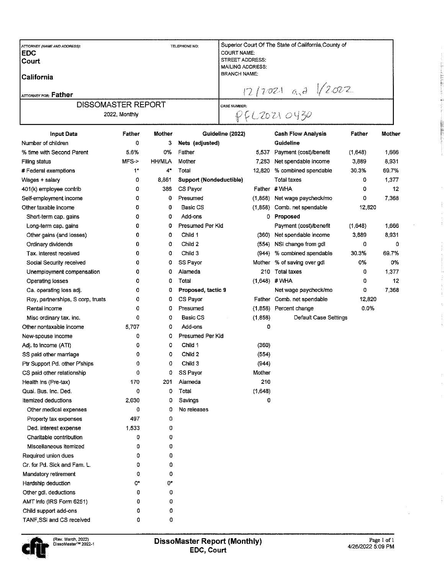| ATTORNEY (NAME AND ADDRESS):<br>IEDC.<br><b>Court</b><br><b>ICalifornia</b><br>Iattorney for: <b>Father</b> | TELEPHONE NO: | Superior Court Of The State of California, County of<br><b>COURT NAME:</b><br><b>STREET ADDRESS:</b><br><b>MAILING ADDRESS:</b><br><b>BRANCH NAME:</b><br>$1212021$ a.d $\sqrt{2022}$ |
|-------------------------------------------------------------------------------------------------------------|---------------|---------------------------------------------------------------------------------------------------------------------------------------------------------------------------------------|
| <b>DISSOMASTER REPORT</b><br>2022, Monthly                                                                  |               | <b>CASE NUMBER:</b><br>PCCONOY30                                                                                                                                                      |

| <b>Input Data</b>                 | <b>Father</b> | Mother        | Guideline (2022)        |          | <b>Cash Flow Analysis</b> | Father  | Mother |
|-----------------------------------|---------------|---------------|-------------------------|----------|---------------------------|---------|--------|
| Number of children                | 0             | 3             | Nets (adjusted)         |          | Guideline                 |         |        |
| % time with Second Parent         | 5.6%          | 0%            | Father                  | 5,537    | Payment (cost)/benefit    | (1,648) | 1,666  |
| Filing status                     | $MFS-$        | <b>HH/MLA</b> | Mother                  | 7,283    | Net spendable income      | 3,889   | 8,931  |
| # Federal exemptions              | $1*$          | 4*            | Total                   | 12,820   | % combined spendable      | 30.3%   | 69.7%  |
| Wages + salary                    | 0             | 8,861         | Support (Nondeductible) |          | Total taxes               | 0       | 1,377  |
| 401(k) employee contrib           | 0             | 386           | CS Payor                |          | Father # WHA              | 0       | 12     |
| Self-employment income            | ٥             | 0             | Presumed                | (1,858)  | Net wage paycheck/mo      | 0       | 7,368  |
| Other taxable income              | 0             | 0             | Basic CS                | (1, 858) | Comb. net spendable       | 12,820  |        |
| Short-term cap. gains             | 0             | 0             | Add-ons                 | 0        | Proposed                  |         |        |
| Long-term cap. gains              | 0             | 0             | Presumed Per Kid        |          | Payment (cost)/benefit    | (1,648) | 1,666  |
| Other gains (and losses)          | 0             | 0             | Child 1                 | (360)    | Net spendable income      | 3,889   | 8,931  |
| Ordinary dividends                | 0             | 0             | Child 2                 | (554)    | NSI change from gdl       | 0       | 0      |
| Tax. interest received            | 0             | 0             | Child 3                 | (944)    | % combined spendable      | 30.3%   | 69.7%  |
| Social Security received          | ٥             | 0             | SS Payor                | Mother   | % of saving over gdl      | 0%      | 0%     |
| Unemployment compensation         | 0             | 0             | Alameda                 | 210      | <b>Total taxes</b>        | 0       | 1,377  |
| Operating losses                  | ٥             | 0             | Total                   | (1,648)  | #WHA                      | 0       | 12     |
| Ca. operating loss adj.           | 0             | 0             | Proposed, tactic 9      |          | Net wage paycheck/mo      | 0       | 7,368  |
| Roy, partnerships, S corp, trusts | 0             | 0             | CS Payor                | Father   | Comb. net spendable       | 12,820  |        |
| Rental income                     | 0             | 0             | Presumed                | (1,858)  | Percent change            | 0.0%    |        |
| Misc ordinary tax. inc.           | 0             | 0             | <b>Basic CS</b>         | (1, 858) | Default Case Settings     |         |        |
| Other nontaxable income           | 5,707         | 0             | Add-ons                 | 0        |                           |         |        |
| New-spouse income                 | 0             | ٥             | Presumed Per Kid        |          |                           |         |        |
| Adj. to income (ATI)              | 0             | 0             | Child 1                 | (360)    |                           |         |        |
| SS paid other marriage            | 0             | 0             | Child 2                 | (554)    |                           |         |        |
| Ptr Support Pd. other P'ships     | 0             | 0             | Child 3                 | (944)    |                           |         |        |
| CS paid other relationship        | 0             | 0             | SS Payor                | Mother   |                           |         |        |
| Health ins (Pre-tax)              | 170           | 201           | Alameda                 | 210      |                           |         |        |
| Qual. Bus. Inc. Ded.              | 0             | 0             | Total                   | (1,648)  |                           |         |        |
| Itemized deductions               | 2,030         | 0             | Savings                 | 0        |                           |         |        |
| Other medical expenses            | 0             | 0             | No releases             |          |                           |         |        |
| Property tax expenses             | 497           | 0             |                         |          |                           |         |        |
| Ded. interest expense             | 1,533         | 0             |                         |          |                           |         |        |
| Charitable contribution           | 0             | 0             |                         |          |                           |         |        |
| Miscellaneous itemized            | 0             | 0             |                         |          |                           |         |        |
| Required union dues               | 0             | 0             |                         |          |                           |         |        |
| Cr. for Pd. Sick and Fam. L.      | 0             | 0             |                         |          |                           |         |        |
| Mandatory retirement              | 0             | ٥             |                         |          |                           |         |        |
| Hardship deduction                | 0*            | 0*            |                         |          |                           |         |        |
| Other gdl. deductions             | 0             | 0             |                         |          |                           |         |        |
| AMT info (IRS Form 6251)          | 0             | 0             |                         |          |                           |         |        |
| Child support add-ons             | 0             | 0             |                         |          |                           |         |        |
| TANF, SSI and CS received         | 0             | 0             |                         |          |                           |         |        |



d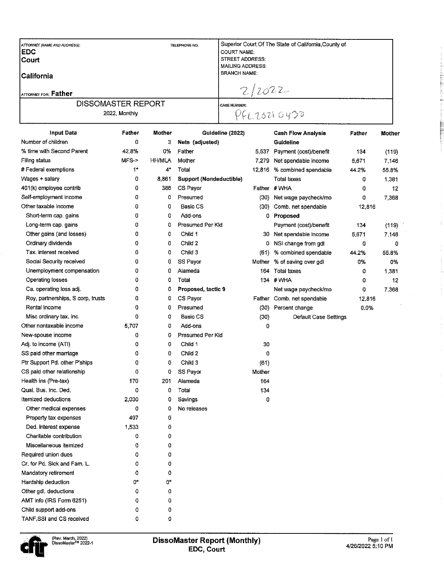| <b>DISSOMASTER REPORT</b><br>2022, Monthly            |               | <b>CASE NUMBER:</b><br>PFL20210420                                      |                                                      |  |
|-------------------------------------------------------|---------------|-------------------------------------------------------------------------|------------------------------------------------------|--|
| lCalifornia<br>ATTORNEY FOR: Father                   |               | <b>BRANCH NAME:</b><br>2/2022                                           |                                                      |  |
| ATTORNEY (NAME AND ADDRESS):<br><b>IEDC</b><br> Court | TELEPHONE NO: | <b>COURT NAME:</b><br><b>STREET ADDRESS:</b><br><b>MAILING ADDRESS:</b> | Superior Court Of The State of California, County of |  |

|                                   |       |               | oundering (easy                |        | waan in w <del>u mila ya</del> ra | וסוונות ו |       |
|-----------------------------------|-------|---------------|--------------------------------|--------|-----------------------------------|-----------|-------|
| Number of children                | 0     | з             | Nets (adjusted)                |        | Guideline                         |           |       |
| % time with Second Parent         | 42.8% | 0%            | Father                         | 5,537  | Payment (cost)/benefit            | 134       | (119) |
| <b>Filing status</b>              | MFS-> | <b>HH/MLA</b> | Mother                         | 7,279  | Net spendable income              | 5,671     | 7,146 |
| # Federal exemptions              | $1*$  | 4*            | Total                          | 12,816 | % combined spendable              | 44.2%     | 55.8% |
| Wages + salary                    | 0     | 8,861         | <b>Support (Nondeductible)</b> |        | <b>Total taxes</b>                | 0         | 1,381 |
| 401(k) employee contrib           | 0     | 386           | CS Payor                       |        | Father #WHA                       | 0         | 12    |
| Self-employment income            | 0     | 0             | Presumed                       | (30)   | Net wage paycheck/mo              | 0         | 7,368 |
| Other taxable income              | 0     | 0             | <b>Basic CS</b>                | (30)   | Comb. net spendable               | 12,816    |       |
| Short-term cap. gains             | 0     | 0             | Add-ons                        | 0      | Proposed                          |           |       |
| Long-term cap. gains              | 0     | 0             | Presumed Per Kid               |        | Payment (cost)/benefit            | 134       | (119) |
| Other gains (and losses)          | 0     | 0             | Child 1                        | 30     | Net spendable income              | 5,671     | 7,146 |
| Ordinary dividends                | 0     | 0             | Child 2                        | o      | NSI change from gdl               | 0         | 0     |
| Tax. interest received            | 0     | o             | Child 3                        | (61)   | % combined spendable              | 44.2%     | 55.8% |
| Social Security received          | 0     | 0             | SS Payor                       | Mother | % of saving over gdl              | 0%        | 0%    |
| Unemployment compensation         | 0     | 0             | Alameda                        | 164.   | Total taxes                       | 0         | 1,381 |
| Operating losses                  | 0     | 0             | Total                          |        | 134 #WHA                          | 0         | 12    |
| Ca. operating loss adj.           | 0     | 0             | Proposed, tactic 9             |        | Net wage paycheck/mo              | 0         | 7,368 |
| Roy, partnerships, S corp, trusts | 0     | 0             | CS Payor                       | Father | Comb. net spendable               | 12,816    |       |
| Rental income                     | 0     | 0             | Presumed                       | (30)   | Percent change                    | 0.0%      |       |
| Misc ordinary tax. inc.           | 0     | 0             | <b>Basic CS</b>                | (30)   | Default Case Settings             |           |       |
| Other nontaxable income           | 5,707 | 0             | Add-ons                        | 0      |                                   |           |       |
| New-spouse income                 | 0     | 0             | Presumed Per Kid               |        |                                   |           |       |
| Adj. to income (ATI)              | 0     | 0             | Child 1                        | 30     |                                   |           |       |
| SS paid other marriage            | ٥     | 0             | Child 2                        | 0      |                                   |           |       |
| Ptr Support Pd. other P'ships     | 0     | 0             | Child 3                        | (61)   |                                   |           |       |
| CS paid other relationship        | 0     | 0             | SS Payor                       | Mother |                                   |           |       |
| Health ins (Pre-tax)              | 170   | 201           | Alameda                        | 164    |                                   |           |       |
| Qual. Bus. Inc. Ded.              | 0     | 0             | Total                          | 134    |                                   |           |       |
| Itemized deductions               | 2,030 | 0             | Savings                        | 0      |                                   |           |       |
| Other medical expenses            | 0     | 0             | No releases                    |        |                                   |           |       |
| Property tax expenses             | 497   | 0             |                                |        |                                   |           |       |
| Ded. interest expense             | 1,533 | 0             |                                |        |                                   |           |       |
| Charitable contribution           | 0     | 0             |                                |        |                                   |           |       |
| Miscellaneous itemized            | ٥     | 0             |                                |        |                                   |           |       |
| Required union dues               | 0     | 0             |                                |        |                                   |           |       |
| Cr. for Pd. Sick and Fam. L.      | 0     | 0             |                                |        |                                   |           |       |
| Mandatory retirement              | 0     | 0             |                                |        |                                   |           |       |
| Hardship deduction                | 0*    | 0*            |                                |        |                                   |           |       |
| Other gdl. deductions             | 0     | ٥             |                                |        |                                   |           |       |
| AMT info (IRS Form 6251)          | 0     | 0             |                                |        |                                   |           |       |
| Child support add-ons             | 0     | 0             |                                |        |                                   |           |       |
| TANF, SSI and CS received         | 0     | 0             |                                |        |                                   |           |       |



 $\begin{array}{ccc} 0 & 0 & 0 & 0 \\ 0 & 0 & 0 & 0 \\ 0 & 0 & 0 & 0 \\ 0 & 0 & 0 & 0 \\ 0 & 0 & 0 & 0 \\ 0 & 0 & 0 & 0 \\ 0 & 0 & 0 & 0 \\ 0 & 0 & 0 & 0 \\ 0 & 0 & 0 & 0 \\ 0 & 0 & 0 & 0 \\ 0 & 0 & 0 & 0 & 0 \\ 0 & 0 & 0 & 0 & 0 \\ 0 & 0 & 0 & 0 & 0 \\ 0 & 0 & 0 & 0 & 0 & 0 \\ 0 & 0 & 0 & 0 & 0 & 0 \\ 0 & 0 & 0 & 0 &$ 

 $\frac{1}{2}$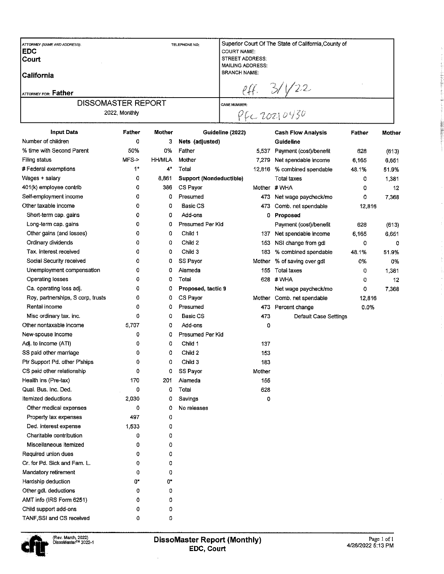| ATTORNEY (NAME AND ADDRESS):<br><b>EDC</b> |               |               | <b>TELEPHONE NO:</b>           | <b>COURT NAME:</b>      |        | Superior Court Of The State of California, County of |        |        |
|--------------------------------------------|---------------|---------------|--------------------------------|-------------------------|--------|------------------------------------------------------|--------|--------|
| Court                                      |               |               |                                | <b>STREET ADDRESS:</b>  |        |                                                      |        |        |
|                                            |               |               |                                | <b>MAILING ADDRESS:</b> |        |                                                      |        |        |
| California                                 |               |               |                                | <b>BRANCH NAME:</b>     |        |                                                      |        |        |
|                                            |               |               |                                |                         |        |                                                      |        |        |
| ATTORNEY FOR: Father                       |               |               |                                |                         |        |                                                      |        |        |
| <b>DISSOMASTER REPORT</b>                  |               |               |                                | <b>CASE NUMBER:</b>     |        |                                                      |        |        |
|                                            | 2022, Monthly |               |                                |                         |        | $eff.$ 3/1/22                                        |        |        |
| <b>Input Data</b>                          | <b>Father</b> | <b>Mother</b> |                                | Guideline (2022)        |        | <b>Cash Flow Analysis</b>                            | Father | Mother |
| Number of children                         | 0             | 3             | Nets (adjusted)                |                         |        | Guideline                                            |        |        |
| % time with Second Parent                  | 50%           | 0%            | Father                         |                         | 5,537  | Payment (cost)/benefit                               | 628    | (613)  |
| Filing status                              | $MFS-$        | <b>HH/MLA</b> | Mother                         |                         | 7,279  | Net spendable income                                 | 6,165  | 6,651  |
| # Federal exemptions                       | $1*$          | 4*            | Total                          |                         | 12,816 | % combined spendable                                 | 48.1%  | 51.9%  |
| Wages + salary                             | 0             | 8,861         | <b>Support (Nondeductible)</b> |                         |        | <b>Total taxes</b>                                   | 0      | 1,381  |
| 401(k) employee contrib                    | 0             | 386           | CS Pavor                       |                         |        | Mother # WHA                                         | 0      | 12     |
| Self-employment income                     | 0             | 0.            | Presumed                       |                         | 473    | Net wage paycheck/mo                                 | 0      | 7,368  |
| Other taxable income                       | 0             | 0             | <b>Basic CS</b>                |                         | 473    | Comb. net spendable                                  | 12,816 |        |
| Short-term cap. gains                      | 0             | 0             | Add-ons                        |                         | 0      | Proposed                                             |        |        |
| Long-term cap. gains                       | 0             | 0             | Presumed Per Kid               |                         |        | Payment (cost)/benefit                               | 628    | (613)  |
| Other gains (and losses)                   | 0             | 0             | Child 1                        |                         | 137    | Net spendable income                                 | 6,165  | 6,651  |
| Ordinary dividends                         | 0             | 0             | Child 2                        |                         | 153    | NSI change from gdl                                  | 0      | 0      |
| Tax. interest received                     | 0             | 0             | Child 3                        |                         | 183    | % combined spendable                                 | 48.1%  | 51.9%  |
| Social Security received                   | 0             | 0             | SS Payor                       |                         | Mother | % of saving over gdl                                 | 0%     | 0%     |
| Unemployment compensation                  | 0             | 0             | Alameda                        |                         | 155    | Total taxes                                          | 0      | 1,381  |
| Operating losses                           | 0             | 0             | Total                          |                         | 628    | #WHA                                                 | 0      | 12     |
| Ca. operating loss adj.                    | 0             | ٥             | Proposed, tactic 9             |                         |        | Net wage paycheck/mo                                 | 0      | 7,368  |
| Roy, partnerships, S corp, trusts          | 0             | 0             | CS Payor                       |                         |        | Mother Comb. net spendable                           | 12816  |        |
| Rental income                              | 0             | 0             | Presumed                       |                         | 473    | Percent change                                       | 0.0%   |        |
| Misc ordinary tax. inc.                    | 0             | 0             | Basic CS                       |                         | 473    | Default Case Settings                                |        |        |
| Other nontaxable income                    | 5.707         | o             | Add-ons                        |                         | 0      |                                                      |        |        |
| New-spouse income                          | 0             | 0             | Presumed Per Kid               |                         |        |                                                      |        |        |
| Adj. to income (ATI)                       | 0             | 0             | Child 1                        |                         | 137    |                                                      |        |        |
| SS paid other marriage                     | 0             | 0             | Child 2                        |                         | 153    |                                                      |        |        |
| Ptr Support Pd. other P'ships              | 0             | 0             | Child 3                        |                         | 183    |                                                      |        |        |
| CS paid other relationship                 | 0             | 0             | SS Payor                       |                         | Mother |                                                      |        |        |
| Health ins (Pre-tax)                       | 170           | 201           | Alameda                        |                         | 155    |                                                      |        |        |
| Qual. Bus. Inc. Ded.                       | 0             | 0             | Total                          |                         | 628    |                                                      |        |        |
| Itemized deductions                        | 2,030         | 0             | Savings                        |                         | 0      |                                                      |        |        |
| Other medical expenses                     | 0             | 0             | No releases                    |                         |        |                                                      |        |        |
| Property tax expenses                      | 497           | 0             |                                |                         |        |                                                      |        |        |
| Ded. interest expense                      | 1,533         | 0             |                                |                         |        |                                                      |        |        |
| Charitable contribution                    | 0             | 0             |                                |                         |        |                                                      |        |        |
| Miscellaneous itemized                     |               |               |                                |                         |        |                                                      |        |        |
| Required union dues                        | 0             | 0             |                                |                         |        |                                                      |        |        |
|                                            | 0             | 0             |                                |                         |        |                                                      |        |        |
| Cr. for Pd. Sick and Fam. L.               | 0             | 0             |                                |                         |        |                                                      |        |        |
| Mandatory retirement                       | 0             | 0             |                                |                         |        |                                                      |        |        |
| Hardship deduction                         | 0*            | 0*            |                                |                         |        |                                                      |        |        |
| Other gdl. deductions                      | 0             | 0             |                                |                         |        |                                                      |        |        |
| AMT info (IRS Form 6251)                   | 0             | 0             |                                |                         |        |                                                      |        |        |
| Child support add-ons                      | 0             | 0             |                                |                         |        |                                                      |        |        |
| TANF SSI and CS received                   | 0             | n             |                                |                         |        |                                                      |        |        |

E

à

**Promate ENSING**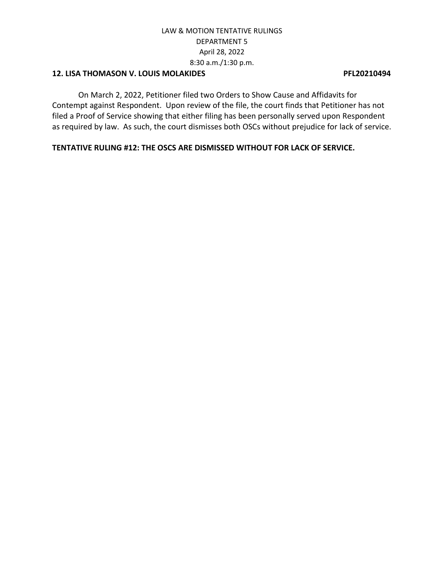## **12. LISA THOMASON V. LOUIS MOLAKIDES PFL20210494**

On March 2, 2022, Petitioner filed two Orders to Show Cause and Affidavits for Contempt against Respondent. Upon review of the file, the court finds that Petitioner has not filed a Proof of Service showing that either filing has been personally served upon Respondent as required by law. As such, the court dismisses both OSCs without prejudice for lack of service.

**TENTATIVE RULING #12: THE OSCS ARE DISMISSED WITHOUT FOR LACK OF SERVICE.**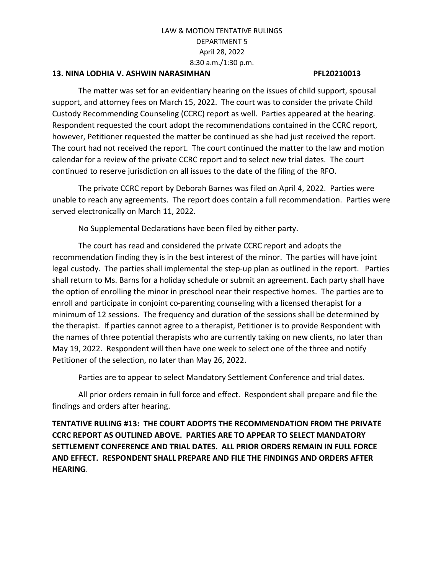### **13. NINA LODHIA V. ASHWIN NARASIMHAN PFL20210013**

The matter was set for an evidentiary hearing on the issues of child support, spousal support, and attorney fees on March 15, 2022. The court was to consider the private Child Custody Recommending Counseling (CCRC) report as well. Parties appeared at the hearing. Respondent requested the court adopt the recommendations contained in the CCRC report, however, Petitioner requested the matter be continued as she had just received the report. The court had not received the report. The court continued the matter to the law and motion calendar for a review of the private CCRC report and to select new trial dates. The court continued to reserve jurisdiction on all issues to the date of the filing of the RFO.

The private CCRC report by Deborah Barnes was filed on April 4, 2022. Parties were unable to reach any agreements. The report does contain a full recommendation. Parties were served electronically on March 11, 2022.

No Supplemental Declarations have been filed by either party.

The court has read and considered the private CCRC report and adopts the recommendation finding they is in the best interest of the minor. The parties will have joint legal custody. The parties shall implemental the step-up plan as outlined in the report. Parties shall return to Ms. Barns for a holiday schedule or submit an agreement. Each party shall have the option of enrolling the minor in preschool near their respective homes. The parties are to enroll and participate in conjoint co-parenting counseling with a licensed therapist for a minimum of 12 sessions. The frequency and duration of the sessions shall be determined by the therapist. If parties cannot agree to a therapist, Petitioner is to provide Respondent with the names of three potential therapists who are currently taking on new clients, no later than May 19, 2022. Respondent will then have one week to select one of the three and notify Petitioner of the selection, no later than May 26, 2022.

Parties are to appear to select Mandatory Settlement Conference and trial dates.

All prior orders remain in full force and effect. Respondent shall prepare and file the findings and orders after hearing.

**TENTATIVE RULING #13: THE COURT ADOPTS THE RECOMMENDATION FROM THE PRIVATE CCRC REPORT AS OUTLINED ABOVE. PARTIES ARE TO APPEAR TO SELECT MANDATORY SETTLEMENT CONFERENCE AND TRIAL DATES. ALL PRIOR ORDERS REMAIN IN FULL FORCE AND EFFECT. RESPONDENT SHALL PREPARE AND FILE THE FINDINGS AND ORDERS AFTER HEARING**.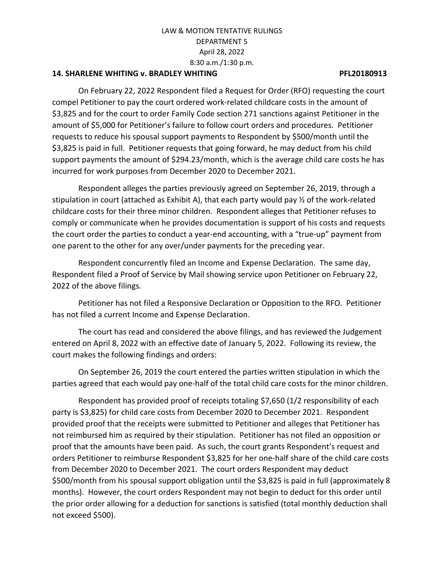### **14. SHARLENE WHITING v. BRADLEY WHITING PFL20180913**

On February 22, 2022 Respondent filed a Request for Order (RFO) requesting the court compel Petitioner to pay the court ordered work-related childcare costs in the amount of \$3,825 and for the court to order Family Code section 271 sanctions against Petitioner in the amount of \$5,000 for Petitioner's failure to follow court orders and procedures. Petitioner requests to reduce his spousal support payments to Respondent by \$500/month until the \$3,825 is paid in full. Petitioner requests that going forward, he may deduct from his child support payments the amount of \$294.23/month, which is the average child care costs he has incurred for work purposes from December 2020 to December 2021.

Respondent alleges the parties previously agreed on September 26, 2019, through a stipulation in court (attached as Exhibit A), that each party would pay ½ of the work-related childcare costs for their three minor children. Respondent alleges that Petitioner refuses to comply or communicate when he provides documentation is support of his costs and requests the court order the parties to conduct a year-end accounting, with a "true-up" payment from one parent to the other for any over/under payments for the preceding year.

Respondent concurrently filed an Income and Expense Declaration. The same day, Respondent filed a Proof of Service by Mail showing service upon Petitioner on February 22, 2022 of the above filings.

Petitioner has not filed a Responsive Declaration or Opposition to the RFO. Petitioner has not filed a current Income and Expense Declaration.

The court has read and considered the above filings, and has reviewed the Judgement entered on April 8, 2022 with an effective date of January 5, 2022. Following its review, the court makes the following findings and orders:

On September 26, 2019 the court entered the parties written stipulation in which the parties agreed that each would pay one-half of the total child care costs for the minor children.

Respondent has provided proof of receipts totaling \$7,650 (1/2 responsibility of each party is \$3,825) for child care costs from December 2020 to December 2021. Respondent provided proof that the receipts were submitted to Petitioner and alleges that Petitioner has not reimbursed him as required by their stipulation. Petitioner has not filed an opposition or proof that the amounts have been paid. As such, the court grants Respondent's request and orders Petitioner to reimburse Respondent \$3,825 for her one-half share of the child care costs from December 2020 to December 2021. The court orders Respondent may deduct \$500/month from his spousal support obligation until the \$3,825 is paid in full (approximately 8 months). However, the court orders Respondent may not begin to deduct for this order until the prior order allowing for a deduction for sanctions is satisfied (total monthly deduction shall not exceed \$500).